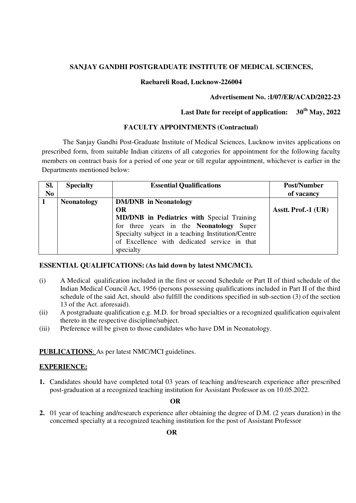## **SANJAY GANDHI POSTGRADUATE INSTITUTE OF MEDICAL SCIENCES,**

#### **Raebareli Road, Lucknow-226004**

### **Advertisement No. :I/07/ER/ACAD/2022-23**

# **Last Date for receipt of application: 30th May, 2022**

### **FACULTY APPOINTMENTS (Contractual)**

 The Sanjay Gandhi Post-Graduate Institute of Medical Sciences, Lucknow invites applications on prescribed form, from suitable Indian citizens of all categories for appointment for the following faculty members on contract basis for a period of one year or till regular appointment, whichever is earlier in the Departments mentioned below:

| SI.            | <b>Specialty</b>   | <b>Essential Qualifications</b>                    | Post/Number         |
|----------------|--------------------|----------------------------------------------------|---------------------|
| N <sub>0</sub> |                    |                                                    | of vacancy          |
|                | <b>Neonatology</b> | <b>DM/DNB</b> in Neonatology                       |                     |
|                |                    | OR                                                 | Asstt. Prof.-1 (UR) |
|                |                    | <b>MD/DNB</b> in Pediatrics with Special Training  |                     |
|                |                    | for three years in the Neonatology Super           |                     |
|                |                    | Specialty subject in a teaching Institution/Centre |                     |
|                |                    | of Excellence with dedicated service in that       |                     |
|                |                    | specialty                                          |                     |

### **ESSENTIAL QUALIFICATIONS: (As laid down by latest NMC/MCI).**

- (i) A Medical qualification included in the first or second Schedule or Part II of third schedule of the Indian Medical Council Act, 1956 (persons possessing qualifications included in Part II of the third schedule of the said Act, should also fulfill the conditions specified in sub-section (3) of the section 13 of the Act. aforesaid).
- (ii) A postgraduate qualification e.g. M.D. for broad specialties or a recognized qualification equivalent thereto in the respective discipline/subject.
- (iii) Preference will be given to those candidates who have DM in Neonatology.

**PUBLICATIONS**: As per latest NMC/MCI guidelines.

### **EXPERIENCE:**

**1.** Candidates should have completed total 03 years of teaching and/research experience after prescribed post-graduation at a recognized teaching institution for Assistant Professor as on 10.05.2022.

## **OR**

**2.** 01 year of teaching and/research experience after obtaining the degree of D.M. (2 years duration) in the concerned specialty at a recognized teaching institution for the post of Assistant Professor